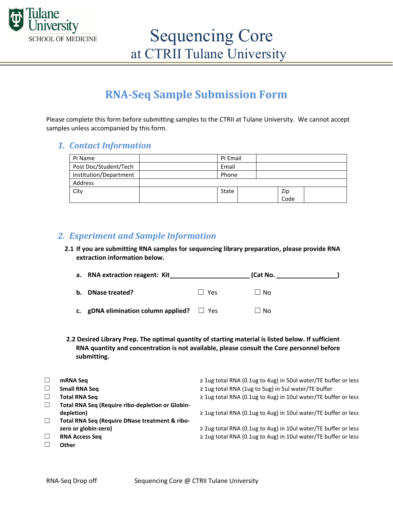

## **RNA-Seq Sample Submission Form**

Please complete this form before submitting samples to the CTRII at Tulane University. We cannot accept samples unless accompanied by this form.

### *1. Contact Information*

| PI Name                | PI Email |      |  |
|------------------------|----------|------|--|
| Post Doc/Student/Tech  | Email    |      |  |
| Institution/Department | Phone    |      |  |
| Address                |          |      |  |
| City                   | State    | Zip  |  |
|                        |          | Code |  |

### *2. Experiment and Sample Information*

**2.1 If you are submitting RNA samples for sequencing library preparation, please provide RNA extraction information below.** 

| a. RNA extraction reagent: Kit                 |         | (Cat No. |  |
|------------------------------------------------|---------|----------|--|
| b. DNase treated?                              | l I Yes | ∣ I No   |  |
| c. gDNA elimination column applied? $\Box$ Yes |         | ∐ No     |  |

**2.2 Desired Library Prep. The optimal quantity of starting material is listed below. If sufficient RNA quantity and concentration is not available, please consult the Core personnel before submitting.**

|        | mRNA Seq                                         | $\geq$ 1ug total RNA (0.1ug to 4ug) in 50ul water/TE buffer or less |
|--------|--------------------------------------------------|---------------------------------------------------------------------|
|        | <b>Small RNA Seq</b>                             | $\geq$ 1ug total RNA (1ug to 5ug) in 5ul water/TE buffer            |
|        | <b>Total RNA Seq</b>                             | $\geq$ 1ug total RNA (0.1ug to 4ug) in 10ul water/TE buffer or less |
|        | Total RNA Seq (Require ribo-depletion or Globin- |                                                                     |
|        | depletion)                                       | $\geq$ 1ug total RNA (0.1ug to 4ug) in 10ul water/TE buffer or less |
|        | Total RNA Seq (Require DNase treatment & ribo-   |                                                                     |
|        | zero or globin-zero)                             | $\geq$ 2ug total RNA (0.1ug to 4ug) in 10ul water/TE buffer or less |
| $\Box$ | <b>RNA Access Seg</b>                            | ≥ 1ug total RNA (0.1ug to 4ug) in 10ul water/TE buffer or less      |
|        | Other                                            |                                                                     |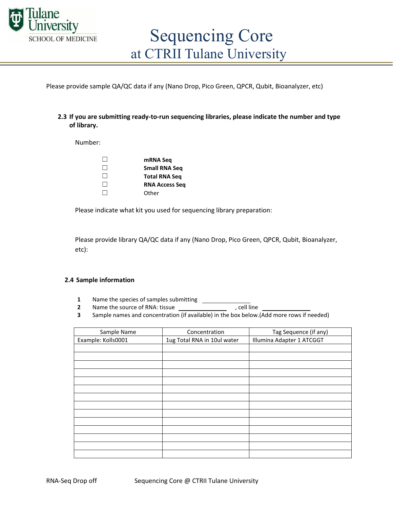

Please provide sample QA/QC data if any (Nano Drop, Pico Green, QPCR, Qubit, Bioanalyzer, etc)

#### **2.3 If you are submitting ready-to-run sequencing libraries, please indicate the number and type of library.**

Number:

| $\mathbf{1}$ | mRNA Seq              |
|--------------|-----------------------|
| $\perp$      | <b>Small RNA Seq</b>  |
| $\perp$      | <b>Total RNA Seg</b>  |
| $\perp$      | <b>RNA Access Seg</b> |
| $\Box$       | Other                 |

Please indicate what kit you used for sequencing library preparation:

Please provide library QA/QC data if any (Nano Drop, Pico Green, QPCR, Qubit, Bioanalyzer, etc):

#### **2.4 Sample information**

- **1** Name the species of samples submitting
- **2** Name the source of RNA: tissue the source of RNA: tissue
- **3** Sample names and concentration (if available) in the box below.(Add more rows if needed)

| Sample Name        | Concentration               | Tag Sequence (if any)     |
|--------------------|-----------------------------|---------------------------|
| Example: Kolls0001 | 1ug Total RNA in 10ul water | Illumina Adapter 1 ATCGGT |
|                    |                             |                           |
|                    |                             |                           |
|                    |                             |                           |
|                    |                             |                           |
|                    |                             |                           |
|                    |                             |                           |
|                    |                             |                           |
|                    |                             |                           |
|                    |                             |                           |
|                    |                             |                           |
|                    |                             |                           |
|                    |                             |                           |
|                    |                             |                           |
|                    |                             |                           |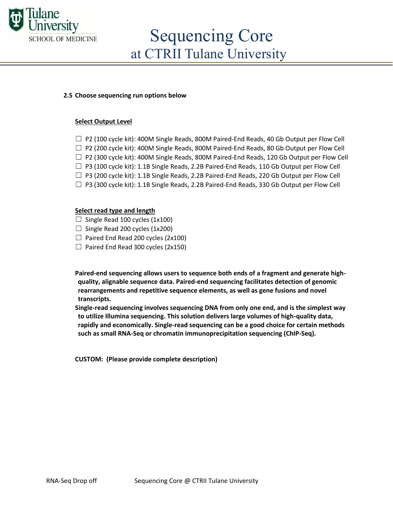

## Sequencing Core at CTRII Tulane University

#### **2.5 Choose sequencing run options below**

#### **Select Output Level**

- $\Box$  P2 (100 cycle kit): 400M Single Reads, 800M Paired-End Reads, 40 Gb Output per Flow Cell
- □ P2 (200 cycle kit): 400M Single Reads, 800M Paired-End Reads, 80 Gb Output per Flow Cell
- $\square$  P2 (300 cycle kit): 400M Single Reads, 800M Paired-End Reads, 120 Gb Output per Flow Cell
- $\Box$  P3 (100 cycle kit): 1.1B Single Reads, 2.2B Paired-End Reads, 110 Gb Output per Flow Cell
- $\square$  P3 (200 cycle kit): 1.1B Single Reads, 2.2B Paired-End Reads, 220 Gb Output per Flow Cell
- $\square$  P3 (300 cycle kit): 1.1B Single Reads, 2.2B Paired-End Reads, 330 Gb Output per Flow Cell

#### **Select read type and length**

- $\Box$  Single Read 100 cycles (1x100)
- $\Box$  Single Read 200 cycles (1x200)
- $\Box$  Paired End Read 200 cycles (2x100)
- $\Box$  Paired End Read 300 cycles (2x150)

**Paired-end sequencing allows users to sequence both ends of a fragment and generate highquality, alignable sequence data. Paired-end sequencing facilitates detection of genomic rearrangements and repetitive sequence elements, as well as gene fusions and novel transcripts.**

**Single-read sequencing involves sequencing DNA from only one end, and is the simplest way to utilize Illumina sequencing. This solution delivers large volumes of high-quality data, rapidly and economically. Single-read sequencing can be a good choice for certain methods such as small RNA-Seq or chromatin immunoprecipitation sequencing (ChIP-Seq).** 

**CUSTOM: (Please provide complete description)**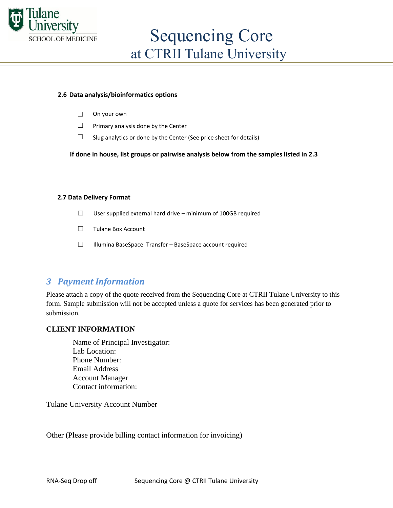

#### **2.6 Data analysis/bioinformatics options**

- ☐ On your own
- $\Box$  Primary analysis done by the Center
- $\Box$  Slug analytics or done by the Center (See price sheet for details)

 **If done in house, list groups or pairwise analysis below from the samples listed in 2.3** 

#### **2.7 Data Delivery Format**

- $\Box$  User supplied external hard drive minimum of 100GB required
- ☐ Tulane Box Account
- ☐ Illumina BaseSpace Transfer BaseSpace account required

## *3 Payment Information*

Please attach a copy of the quote received from the Sequencing Core at CTRII Tulane University to this form. Sample submission will not be accepted unless a quote for services has been generated prior to submission.

#### **CLIENT INFORMATION**

Name of Principal Investigator: Lab Location: Phone Number: Email Address Account Manager Contact information:

Tulane University Account Number

Other (Please provide billing contact information for invoicing)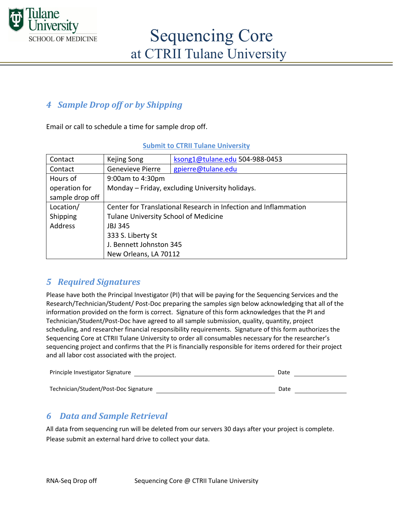

## *4 Sample Drop off or by Shipping*

Email or call to schedule a time for sample drop off.

| Contact         | Kejing Song                                                     | ksong1@tulane.edu 504-988-0453 |  |
|-----------------|-----------------------------------------------------------------|--------------------------------|--|
| Contact         | <b>Genevieve Pierre</b>                                         | gpierre@tulane.edu             |  |
| Hours of        | 9:00am to 4:30pm                                                |                                |  |
| operation for   | Monday - Friday, excluding University holidays.                 |                                |  |
| sample drop off |                                                                 |                                |  |
| Location/       | Center for Translational Research in Infection and Inflammation |                                |  |
| Shipping        | <b>Tulane University School of Medicine</b>                     |                                |  |
| <b>Address</b>  | JBJ 345                                                         |                                |  |
|                 | 333 S. Liberty St                                               |                                |  |
|                 | J. Bennett Johnston 345                                         |                                |  |
|                 | New Orleans, LA 70112                                           |                                |  |

## *5 Required Signatures*

Please have both the Principal Investigator (PI) that will be paying for the Sequencing Services and the Research/Technician/Student/ Post-Doc preparing the samples sign below acknowledging that all of the information provided on the form is correct. Signature of this form acknowledges that the PI and Technician/Student/Post-Doc have agreed to all sample submission, quality, quantity, project scheduling, and researcher financial responsibility requirements. Signature of this form authorizes the Sequencing Core at CTRII Tulane University to order all consumables necessary for the researcher's sequencing project and confirms that the PI is financially responsible for items ordered for their project and all labor cost associated with the project.

| Principle Investigator Signature      | Date |  |
|---------------------------------------|------|--|
| Technician/Student/Post-Doc Signature | Date |  |

## *6 Data and Sample Retrieval*

All data from sequencing run will be deleted from our servers 30 days after your project is complete. Please submit an external hard drive to collect your data.